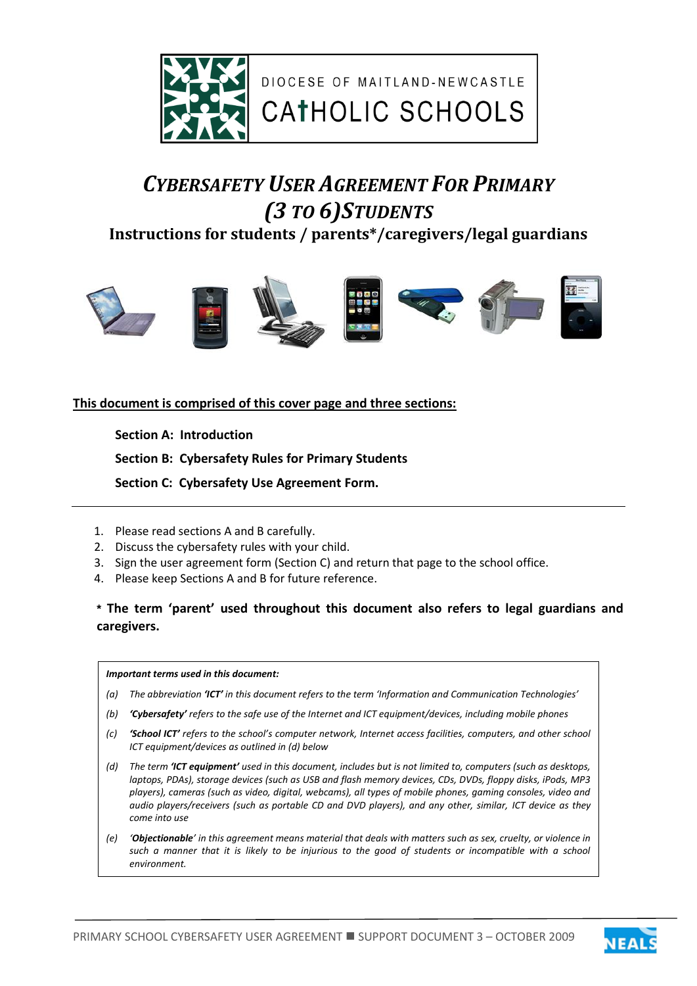

DIOCESE OF MAITLAND-NEWCASTLE

# *CYBERSAFETY USER AGREEMENT FOR PRIMARY (3 TO 6)STUDENTS*

**Instructions for students / parents\*/caregivers/legal guardians**



## **This document is comprised of this cover page and three sections:**

**Section A: Introduction** 

**Section B: Cybersafety Rules for Primary Students**

 **Section C: Cybersafety Use Agreement Form.** 

- 1. Please read sections A and B carefully.
- 2. Discuss the cybersafety rules with your child.
- 3. Sign the user agreement form (Section C) and return that page to the school office.
- 4. Please keep Sections A and B for future reference.

**\* The term 'parent' used throughout this document also refers to legal guardians and caregivers.**

#### *Important terms used in this document:*

- *(a) The abbreviation 'ICT' in this document refers to the term 'Information and Communication Technologies'*
- *(b) 'Cybersafety' refers to the safe use of the Internet and ICT equipment/devices, including mobile phones*
- *(c) 'School ICT' refers to the school's computer network, Internet access facilities, computers, and other school ICT equipment/devices as outlined in (d) below*
- *(d) The term 'ICT equipment' used in this document, includes but is not limited to, computers (such as desktops, laptops, PDAs), storage devices (such as USB and flash memory devices, CDs, DVDs, floppy disks, iPods, MP3 players), cameras (such as video, digital, webcams), all types of mobile phones, gaming consoles, video and audio players/receivers (such as portable CD and DVD players), and any other, similar, ICT device as they come into use*
- *(e) 'Objectionable' in this agreement means material that deals with matters such as sex, cruelty, or violence in such a manner that it is likely to be injurious to the good of students or incompatible with a school environment.*



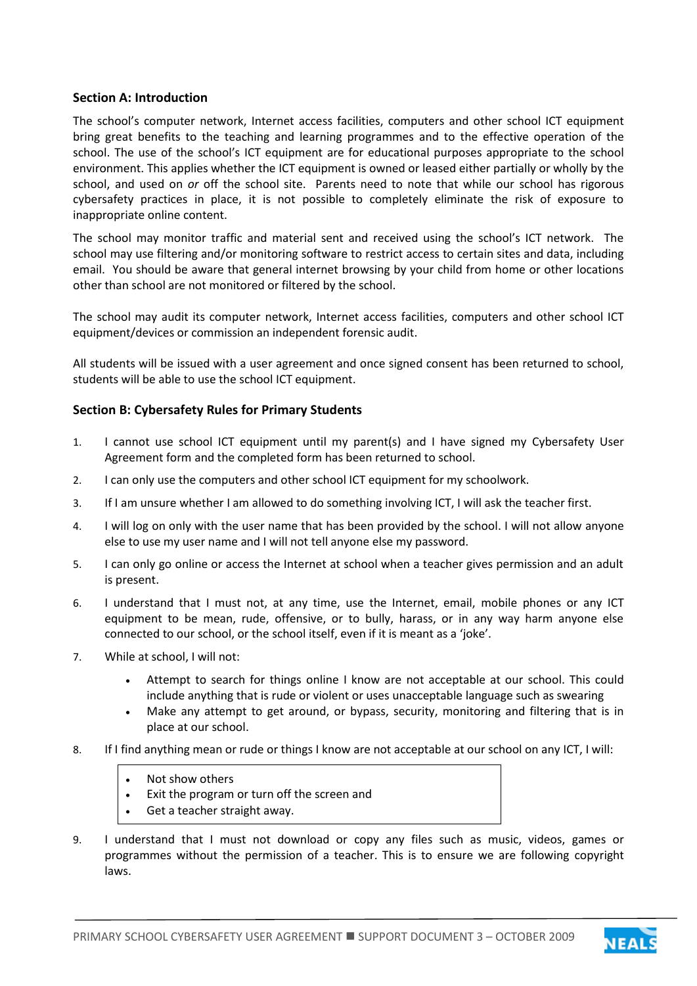### **Section A: Introduction**

The school's computer network, Internet access facilities, computers and other school ICT equipment bring great benefits to the teaching and learning programmes and to the effective operation of the school. The use of the school's ICT equipment are for educational purposes appropriate to the school environment. This applies whether the ICT equipment is owned or leased either partially or wholly by the school, and used on *or* off the school site. Parents need to note that while our school has rigorous cybersafety practices in place, it is not possible to completely eliminate the risk of exposure to inappropriate online content.

The school may monitor traffic and material sent and received using the school's ICT network. The school may use filtering and/or monitoring software to restrict access to certain sites and data, including email. You should be aware that general internet browsing by your child from home or other locations other than school are not monitored or filtered by the school.

The school may audit its computer network, Internet access facilities, computers and other school ICT equipment/devices or commission an independent forensic audit.

All students will be issued with a user agreement and once signed consent has been returned to school, students will be able to use the school ICT equipment.

## **Section B: Cybersafety Rules for Primary Students**

- 1. I cannot use school ICT equipment until my parent(s) and I have signed my Cybersafety User Agreement form and the completed form has been returned to school.
- 2. I can only use the computers and other school ICT equipment for my schoolwork.
- 3. If I am unsure whether I am allowed to do something involving ICT, I will ask the teacher first.
- 4. I will log on only with the user name that has been provided by the school. I will not allow anyone else to use my user name and I will not tell anyone else my password.
- 5. I can only go online or access the Internet at school when a teacher gives permission and an adult is present.
- 6. I understand that I must not, at any time, use the Internet, email, mobile phones or any ICT equipment to be mean, rude, offensive, or to bully, harass, or in any way harm anyone else connected to our school, or the school itself, even if it is meant as a 'joke'.
- 7. While at school, I will not:
	- Attempt to search for things online I know are not acceptable at our school. This could include anything that is rude or violent or uses unacceptable language such as swearing
	- Make any attempt to get around, or bypass, security, monitoring and filtering that is in place at our school.
- 8. If I find anything mean or rude or things I know are not acceptable at our school on any ICT, I will:
	- Not show others
	- Exit the program or turn off the screen and
	- Get a teacher straight away.
- 9. I understand that I must not download or copy any files such as music, videos, games or programmes without the permission of a teacher. This is to ensure we are following copyright laws.

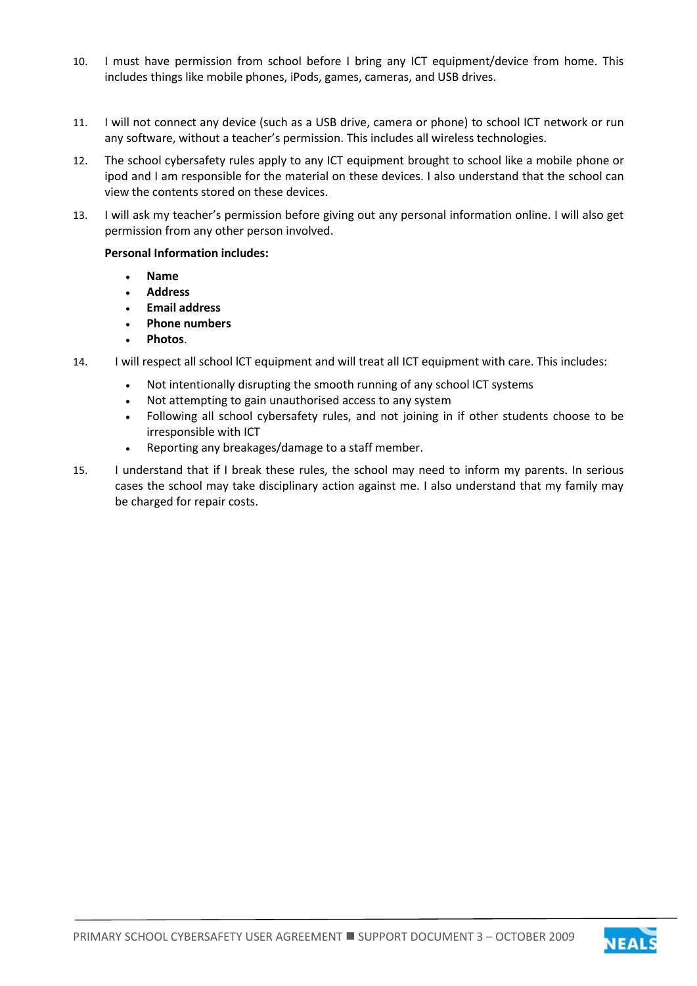- 10. I must have permission from school before I bring any ICT equipment/device from home. This includes things like mobile phones, iPods, games, cameras, and USB drives.
- 11. I will not connect any device (such as a USB drive, camera or phone) to school ICT network or run any software, without a teacher's permission. This includes all wireless technologies.
- 12. The school cybersafety rules apply to any ICT equipment brought to school like a mobile phone or ipod and I am responsible for the material on these devices. I also understand that the school can view the contents stored on these devices.
- 13. I will ask my teacher's permission before giving out any personal information online. I will also get permission from any other person involved.

#### **Personal Information includes:**

- **Name**
- **Address**
- **Email address**
- **Phone numbers**
- **Photos**.
- 14. I will respect all school lCT equipment and will treat all ICT equipment with care. This includes:
	- Not intentionally disrupting the smooth running of any school ICT systems
	- Not attempting to gain unauthorised access to any system
	- Following all school cybersafety rules, and not joining in if other students choose to be irresponsible with ICT
	- Reporting any breakages/damage to a staff member.
- 15. I understand that if I break these rules, the school may need to inform my parents. In serious cases the school may take disciplinary action against me. I also understand that my family may be charged for repair costs.